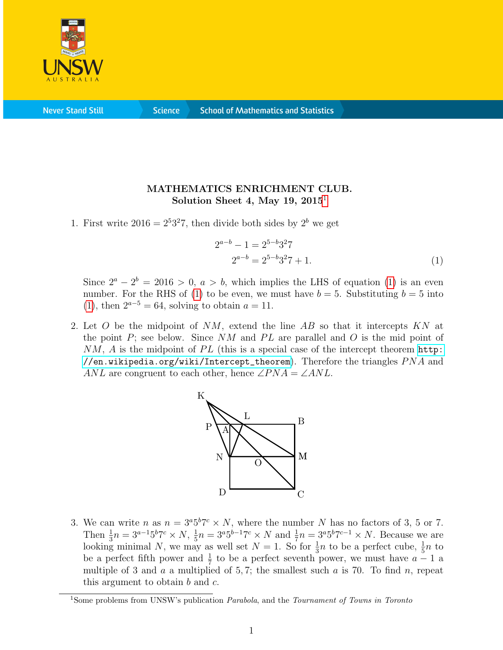

**Never Stand Still** 

**Science** 

## MATHEMATICS ENRICHMENT CLUB. Solution Sheet 4, May [1](#page-0-0)9,  $2015<sup>1</sup>$

1. First write  $2016 = 2^5 3^2 7$ , then divide both sides by  $2^b$  we get

<span id="page-0-1"></span>
$$
2^{a-b} - 1 = 2^{5-b}3^27
$$
  

$$
2^{a-b} = 2^{5-b}3^27 + 1.
$$
 (1)

Since  $2^a - 2^b = 2016 > 0$ ,  $a > b$ , which implies the LHS of equation [\(1\)](#page-0-1) is an even number. For the RHS of [\(1\)](#page-0-1) to be even, we must have  $b = 5$ . Substituting  $b = 5$  into [\(1\)](#page-0-1), then  $2^{a-5} = 64$ , solving to obtain  $a = 11$ .

2. Let O be the midpoint of  $NM$ , extend the line AB so that it intercepts  $KN$  at the point  $P$ ; see below. Since NM and PL are parallel and O is the mid point of  $NM$ , A is the midpoint of PL (this is a special case of the intercept theorem [http:](http://en.wikipedia.org/wiki/Intercept_theorem) [//en.wikipedia.org/wiki/Intercept\\_theorem](http://en.wikipedia.org/wiki/Intercept_theorem)). Therefore the triangles  $PNA$  and ANL are congruent to each other, hence  $\angle PNA = \angle ANL$ .



3. We can write *n* as  $n = 3^{a}5^{b}7^{c} \times N$ , where the number *N* has no factors of 3, 5 or 7. Then  $\frac{1}{3}n = 3^{a-1}5^b7^c \times N$ ,  $\frac{1}{5}$  $\frac{1}{5}n = 3^a 5^{b-1} 7^c \times N$  and  $\frac{1}{7}n = 3^a 5^b 7^{c-1} \times N$ . Because we are looking minimal N, we may as well set  $N = 1$ . So for  $\frac{1}{3}n$  to be a perfect cube,  $\frac{1}{5}n$  to be a perfect fifth power and  $\frac{1}{7}$  to be a perfect seventh power, we must have  $a - 1$  a multiple of 3 and  $a$  a multiplied of 5,7; the smallest such  $a$  is 70. To find  $n$ , repeat this argument to obtain  $b$  and  $c$ .

<span id="page-0-0"></span><sup>&</sup>lt;sup>1</sup>Some problems from UNSW's publication *Parabola*, and the *Tournament of Towns in Toronto*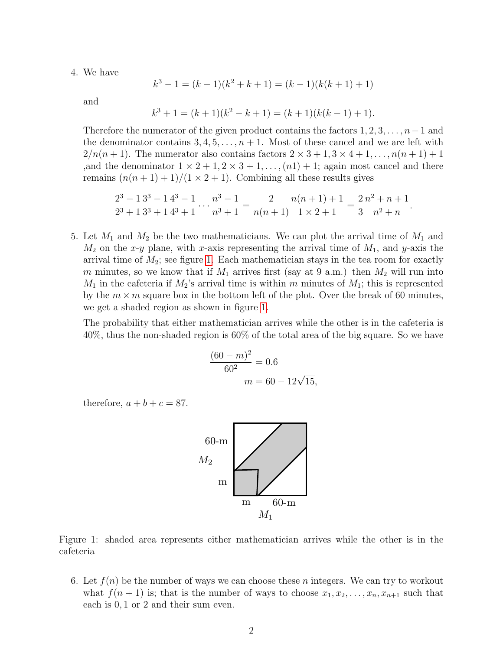4. We have

$$
k^3 - 1 = (k - 1)(k^2 + k + 1) = (k - 1)(k(k + 1) + 1)
$$

and

$$
k3 + 1 = (k + 1)(k2 - k + 1) = (k + 1)(k(k - 1) + 1).
$$

Therefore the numerator of the given product contains the factors  $1, 2, 3, \ldots, n-1$  and the denominator contains  $3, 4, 5, \ldots, n+1$ . Most of these cancel and we are left with  $2/n(n+1)$ . The numerator also contains factors  $2 \times 3 + 1, 3 \times 4 + 1, \ldots, n(n+1) + 1$ ,and the denominator  $1 \times 2 + 1, 2 \times 3 + 1, \ldots, (n1) + 1$ ; again most cancel and there remains  $(n(n+1)+1)/(1\times 2+1)$ . Combining all these results gives

$$
\frac{2^3 - 1}{2^3 + 1} \frac{3^3 - 1}{3^3 + 1} \frac{4^3 - 1}{4^3 + 1} \cdots \frac{n^3 - 1}{n^3 + 1} = \frac{2}{n(n+1)} \frac{n(n+1) + 1}{1 \times 2 + 1} = \frac{2}{3} \frac{n^2 + n + 1}{n^2 + n}.
$$

5. Let  $M_1$  and  $M_2$  be the two mathematicians. We can plot the arrival time of  $M_1$  and  $M_2$  on the x-y plane, with x-axis representing the arrival time of  $M_1$ , and y-axis the arrival time of  $M_2$ ; see figure [1.](#page-1-0) Each mathematician stays in the tea room for exactly m minutes, so we know that if  $M_1$  arrives first (say at 9 a.m.) then  $M_2$  will run into  $M_1$  in the cafeteria if  $M_2$ 's arrival time is within m minutes of  $M_1$ ; this is represented by the  $m \times m$  square box in the bottom left of the plot. Over the break of 60 minutes, we get a shaded region as shown in figure [1.](#page-1-0)

The probability that either mathematician arrives while the other is in the cafeteria is 40%, thus the non-shaded region is 60% of the total area of the big square. So we have

$$
\frac{(60 - m)^2}{60^2} = 0.6
$$

$$
m = 60 - 12\sqrt{15},
$$

therefore,  $a + b + c = 87$ .



<span id="page-1-0"></span>Figure 1: shaded area represents either mathematician arrives while the other is in the cafeteria

6. Let  $f(n)$  be the number of ways we can choose these n integers. We can try to workout what  $f(n + 1)$  is; that is the number of ways to choose  $x_1, x_2, \ldots, x_n, x_{n+1}$  such that each is 0, 1 or 2 and their sum even.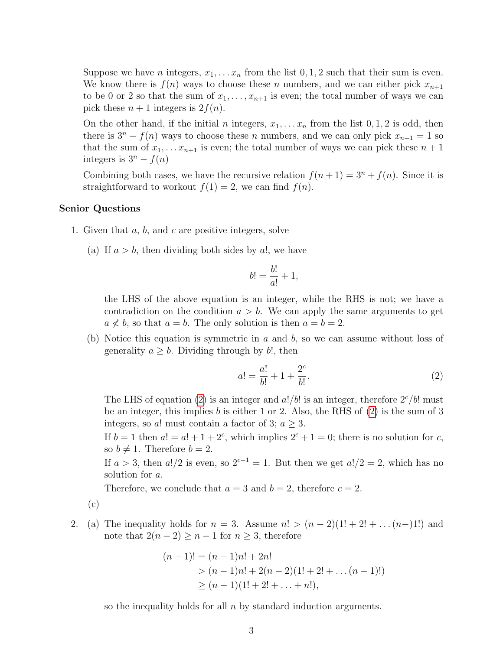Suppose we have *n* integers,  $x_1, \ldots, x_n$  from the list 0, 1, 2 such that their sum is even. We know there is  $f(n)$  ways to choose these n numbers, and we can either pick  $x_{n+1}$ to be 0 or 2 so that the sum of  $x_1, \ldots, x_{n+1}$  is even; the total number of ways we can pick these  $n + 1$  integers is  $2f(n)$ .

On the other hand, if the initial n integers,  $x_1, \ldots, x_n$  from the list  $0, 1, 2$  is odd, then there is  $3<sup>n</sup> - f(n)$  ways to choose these *n* numbers, and we can only pick  $x_{n+1} = 1$  so that the sum of  $x_1, \ldots x_{n+1}$  is even; the total number of ways we can pick these  $n+1$ integers is  $3^n - f(n)$ 

Combining both cases, we have the recursive relation  $f(n+1) = 3<sup>n</sup> + f(n)$ . Since it is straightforward to workout  $f(1) = 2$ , we can find  $f(n)$ .

## Senior Questions

- 1. Given that  $a, b$ , and  $c$  are positive integers, solve
	- (a) If  $a > b$ , then dividing both sides by a!, we have

$$
b! = \frac{b!}{a!} + 1,
$$

the LHS of the above equation is an integer, while the RHS is not; we have a contradiction on the condition  $a > b$ . We can apply the same arguments to get  $a \nless b$ , so that  $a = b$ . The only solution is then  $a = b = 2$ .

(b) Notice this equation is symmetric in  $a$  and  $b$ , so we can assume without loss of generality  $a \geq b$ . Dividing through by b!, then

<span id="page-2-0"></span>
$$
a! = \frac{a!}{b!} + 1 + \frac{2^c}{b!}.
$$
 (2)

The LHS of equation [\(2\)](#page-2-0) is an integer and  $a!/b!$  is an integer, therefore  $2^c/b!$  must be an integer, this implies  $b$  is either 1 or 2. Also, the RHS of  $(2)$  is the sum of 3 integers, so a! must contain a factor of 3;  $a \geq 3$ .

If  $b = 1$  then  $a! = a! + 1 + 2^c$ , which implies  $2^c + 1 = 0$ ; there is no solution for c, so  $b \neq 1$ . Therefore  $b = 2$ .

If  $a > 3$ , then  $a!/2$  is even, so  $2^{c-1} = 1$ . But then we get  $a!/2 = 2$ , which has no solution for a.

Therefore, we conclude that  $a = 3$  and  $b = 2$ , therefore  $c = 2$ .

(c)

2. (a) The inequality holds for  $n = 3$ . Assume  $n! > (n-2)(1! + 2! + ... (n-1)!)$  and note that  $2(n-2) \geq n-1$  for  $n \geq 3$ , therefore

$$
(n+1)! = (n-1)n! + 2n!
$$
  
>  $(n-1)n! + 2(n-2)(1! + 2! + ... (n-1)!)$   
>  $(n-1)(1! + 2! + ... + n!),$ 

so the inequality holds for all  $n$  by standard induction arguments.